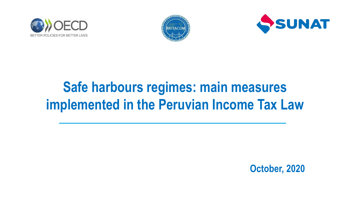





## **Safe harbours regimes: main measures implemented in the Peruvian Income Tax Law**

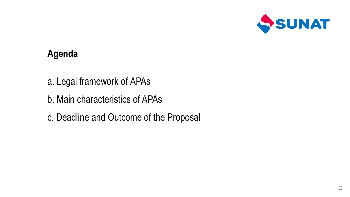

### **Agenda**

- a. Legal framework of APAs
- b. Main characteristics of APAs
- c. Deadline and Outcome of the Proposal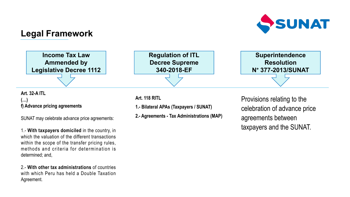

### **Legal Framework**



### **Art. 32-A ITL (…) f) Advance pricing agreements**

SUNAT maycelebrate advance price agreements:

1.- **With taxpayers domiciled** in the country, in which the valuation of the different transactions within the scope of the transfer pricing rules, methods and criteria for determination is determined; and,

2.- **With other tax administrations** of countries with which Peru has held a Double Taxation Agreement.

**Art. 118 RITL**

**1.- Bilateral APAs (Taxpayers / SUNAT)**

**2.- Agreements - Tax Administrations (MAP)**

Provisions relating to the celebration of advance price agreements between taxpayers and the SUNAT.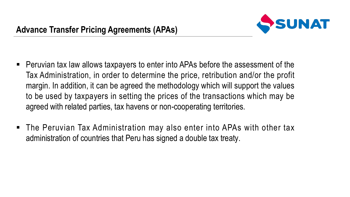

- Peruvian tax law allows taxpayers to enter into APAs before the assessment of the Tax Administration, in order to determine the price, retribution and/or the profit margin. In addition, it can be agreed the methodology which will support the values to be used by taxpayers in setting the prices of the transactions which may be agreed with related parties, tax havens or non-cooperating territories.
- The Peruvian Tax Administration may also enter into APAs with other tax administration of countries that Peru has signed a double tax treaty.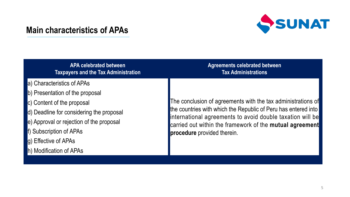# SSUNAT

### **Main characteristics of APAs**

| <b>APA celebrated between</b><br><b>Taxpayers and the Tax Administration</b> | <b>Agreements celebrated between</b><br><b>Tax Administrations</b>                                                                                                                                                                                                                     |
|------------------------------------------------------------------------------|----------------------------------------------------------------------------------------------------------------------------------------------------------------------------------------------------------------------------------------------------------------------------------------|
|                                                                              |                                                                                                                                                                                                                                                                                        |
| a) Characteristics of APAs                                                   | The conclusion of agreements with the tax administrations of<br>the countries with which the Republic of Peru has entered into<br>international agreements to avoid double taxation will be<br>carried out within the framework of the mutual agreement<br>procedure provided therein. |
| b) Presentation of the proposal                                              |                                                                                                                                                                                                                                                                                        |
| c) Content of the proposal                                                   |                                                                                                                                                                                                                                                                                        |
| d) Deadline for considering the proposal                                     |                                                                                                                                                                                                                                                                                        |
| e) Approval or rejection of the proposal                                     |                                                                                                                                                                                                                                                                                        |
| f) Subscription of APAs                                                      |                                                                                                                                                                                                                                                                                        |
| g) Effective of APAs                                                         |                                                                                                                                                                                                                                                                                        |
| h) Modification of APAs                                                      |                                                                                                                                                                                                                                                                                        |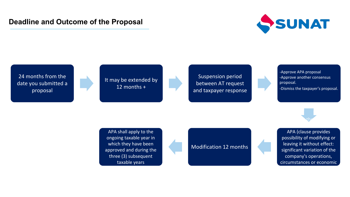### **Deadline and Outcome of the Proposal**



24 months from the date you submitted a proposal

It may be extended by 12 months +

Suspension period between AT request and taxpayer response

-Approve APA proposal -Approve another consensus proposal. -Dismiss the taxpayer's proposal.

If a proved, the AT and the AT and the AT and the AT and the AT and the AT and the AT and the AT and the AT and taxpayer will subscribe an analysis of the subscribe and subscribe and subscribe

APA shall apply to the ongoing taxable year in which they have been Modification 12 months approved and during the three (3) subsequent taxable years

APA (clause provides possibility of modifying or leaving it without effect: significant variation of the company's operations, circumstances or economic Modification 12 months<br>significant variation of the<br>company's operations,<br>circumstances or economic